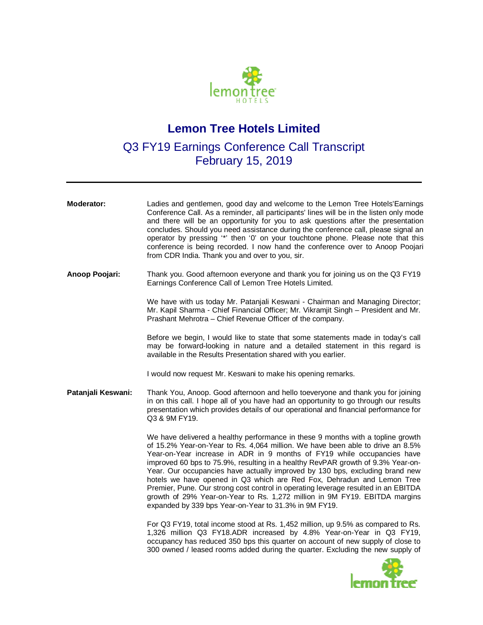

# **Lemon Tree Hotels Limited**

## Q3 FY19 Earnings Conference Call Transcript February 15, 2019

| Moderator:         | Ladies and gentlemen, good day and welcome to the Lemon Tree Hotels'Earnings<br>Conference Call. As a reminder, all participants' lines will be in the listen only mode<br>and there will be an opportunity for you to ask questions after the presentation<br>concludes. Should you need assistance during the conference call, please signal an<br>operator by pressing "" then '0' on your touchtone phone. Please note that this<br>conference is being recorded. I now hand the conference over to Anoop Poojari<br>from CDR India. Thank you and over to you, sir.                                                                                                                                               |
|--------------------|------------------------------------------------------------------------------------------------------------------------------------------------------------------------------------------------------------------------------------------------------------------------------------------------------------------------------------------------------------------------------------------------------------------------------------------------------------------------------------------------------------------------------------------------------------------------------------------------------------------------------------------------------------------------------------------------------------------------|
| Anoop Poojari:     | Thank you. Good afternoon everyone and thank you for joining us on the Q3 FY19<br>Earnings Conference Call of Lemon Tree Hotels Limited.                                                                                                                                                                                                                                                                                                                                                                                                                                                                                                                                                                               |
|                    | We have with us today Mr. Patanjali Keswani - Chairman and Managing Director;<br>Mr. Kapil Sharma - Chief Financial Officer; Mr. Vikramjit Singh - President and Mr.<br>Prashant Mehrotra - Chief Revenue Officer of the company.                                                                                                                                                                                                                                                                                                                                                                                                                                                                                      |
|                    | Before we begin, I would like to state that some statements made in today's call<br>may be forward-looking in nature and a detailed statement in this regard is<br>available in the Results Presentation shared with you earlier.                                                                                                                                                                                                                                                                                                                                                                                                                                                                                      |
|                    | I would now request Mr. Keswani to make his opening remarks.                                                                                                                                                                                                                                                                                                                                                                                                                                                                                                                                                                                                                                                           |
| Patanjali Keswani: | Thank You, Anoop. Good afternoon and hello toeveryone and thank you for joining<br>in on this call. I hope all of you have had an opportunity to go through our results<br>presentation which provides details of our operational and financial performance for<br>Q3 & 9M FY19.                                                                                                                                                                                                                                                                                                                                                                                                                                       |
|                    | We have delivered a healthy performance in these 9 months with a topline growth<br>of 15.2% Year-on-Year to Rs. 4,064 million. We have been able to drive an 8.5%<br>Year-on-Year increase in ADR in 9 months of FY19 while occupancies have<br>improved 60 bps to 75.9%, resulting in a healthy RevPAR growth of 9.3% Year-on-<br>Year. Our occupancies have actually improved by 130 bps, excluding brand new<br>hotels we have opened in Q3 which are Red Fox, Dehradun and Lemon Tree<br>Premier, Pune. Our strong cost control in operating leverage resulted in an EBITDA<br>growth of 29% Year-on-Year to Rs. 1,272 million in 9M FY19. EBITDA margins<br>expanded by 339 bps Year-on-Year to 31.3% in 9M FY19. |
|                    | For Q3 FY19, total income stood at Rs. 1,452 million, up 9.5% as compared to Rs.<br>1,326 million Q3 FY18.ADR increased by 4.8% Year-on-Year in Q3 FY19,<br>occupancy has reduced 350 bps this quarter on account of new supply of close to<br>300 owned / leased rooms added during the quarter. Excluding the new supply of                                                                                                                                                                                                                                                                                                                                                                                          |
|                    |                                                                                                                                                                                                                                                                                                                                                                                                                                                                                                                                                                                                                                                                                                                        |

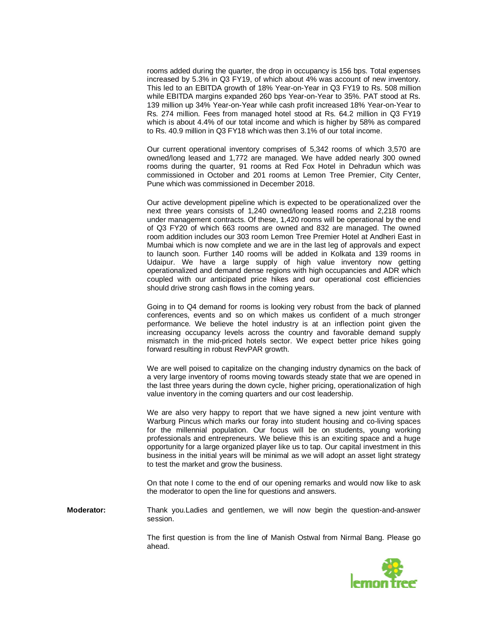rooms added during the quarter, the drop in occupancy is 156 bps. Total expenses increased by 5.3% in Q3 FY19, of which about 4% was account of new inventory. This led to an EBITDA growth of 18% Year-on-Year in Q3 FY19 to Rs. 508 million while EBITDA margins expanded 260 bps Year-on-Year to 35%. PAT stood at Rs. 139 million up 34% Year-on-Year while cash profit increased 18% Year-on-Year to Rs. 274 million. Fees from managed hotel stood at Rs. 64.2 million in Q3 FY19 which is about 4.4% of our total income and which is higher by 58% as compared to Rs. 40.9 million in Q3 FY18 which was then 3.1% of our total income.

Our current operational inventory comprises of 5,342 rooms of which 3,570 are owned/long leased and 1,772 are managed. We have added nearly 300 owned rooms during the quarter, 91 rooms at Red Fox Hotel in Dehradun which was commissioned in October and 201 rooms at Lemon Tree Premier, City Center, Pune which was commissioned in December 2018.

Our active development pipeline which is expected to be operationalized over the next three years consists of 1,240 owned/long leased rooms and 2,218 rooms under management contracts. Of these, 1,420 rooms will be operational by the end of Q3 FY20 of which 663 rooms are owned and 832 are managed. The owned room addition includes our 303 room Lemon Tree Premier Hotel at Andheri East in Mumbai which is now complete and we are in the last leg of approvals and expect to launch soon. Further 140 rooms will be added in Kolkata and 139 rooms in Udaipur. We have a large supply of high value inventory now getting operationalized and demand dense regions with high occupancies and ADR which coupled with our anticipated price hikes and our operational cost efficiencies should drive strong cash flows in the coming years.

Going in to Q4 demand for rooms is looking very robust from the back of planned conferences, events and so on which makes us confident of a much stronger performance. We believe the hotel industry is at an inflection point given the increasing occupancy levels across the country and favorable demand supply mismatch in the mid-priced hotels sector. We expect better price hikes going forward resulting in robust RevPAR growth.

We are well poised to capitalize on the changing industry dynamics on the back of a very large inventory of rooms moving towards steady state that we are opened in the last three years during the down cycle, higher pricing, operationalization of high value inventory in the coming quarters and our cost leadership.

We are also very happy to report that we have signed a new joint venture with Warburg Pincus which marks our foray into student housing and co-living spaces for the millennial population. Our focus will be on students, young working professionals and entrepreneurs. We believe this is an exciting space and a huge opportunity for a large organized player like us to tap. Our capital investment in this business in the initial years will be minimal as we will adopt an asset light strategy to test the market and grow the business.

On that note I come to the end of our opening remarks and would now like to ask the moderator to open the line for questions and answers.

**Moderator:** Thank you.Ladies and gentlemen, we will now begin the question-and-answer session.

> The first question is from the line of Manish Ostwal from Nirmal Bang. Please go ahead.

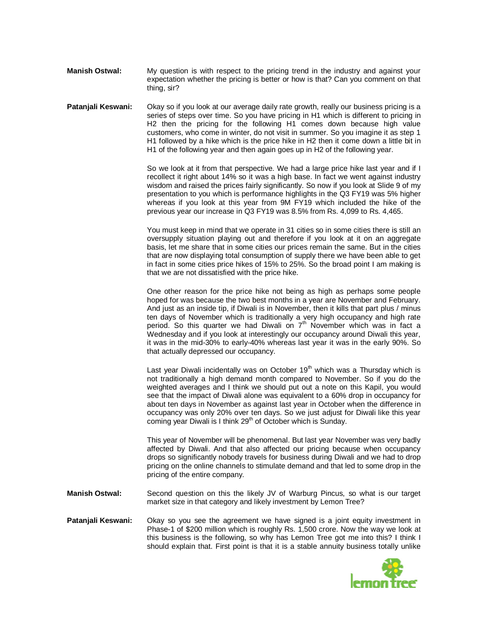**Manish Ostwal:** My question is with respect to the pricing trend in the industry and against your expectation whether the pricing is better or how is that? Can you comment on that thing, sir?

**Patanjali Keswani:** Okay so if you look at our average daily rate growth, really our business pricing is a series of steps over time. So you have pricing in H1 which is different to pricing in H2 then the pricing for the following H1 comes down because high value customers, who come in winter, do not visit in summer. So you imagine it as step 1 H1 followed by a hike which is the price hike in H2 then it come down a little bit in H1 of the following year and then again goes up in H2 of the following year.

> So we look at it from that perspective. We had a large price hike last year and if I recollect it right about 14% so it was a high base. In fact we went against industry wisdom and raised the prices fairly significantly. So now if you look at Slide 9 of my presentation to you which is performance highlights in the Q3 FY19 was 5% higher whereas if you look at this year from 9M FY19 which included the hike of the previous year our increase in Q3 FY19 was 8.5% from Rs. 4,099 to Rs. 4,465.

> You must keep in mind that we operate in 31 cities so in some cities there is still an oversupply situation playing out and therefore if you look at it on an aggregate basis, let me share that in some cities our prices remain the same. But in the cities that are now displaying total consumption of supply there we have been able to get in fact in some cities price hikes of 15% to 25%. So the broad point I am making is that we are not dissatisfied with the price hike.

> One other reason for the price hike not being as high as perhaps some people hoped for was because the two best months in a year are November and February. And just as an inside tip, if Diwali is in November, then it kills that part plus / minus ten days of November which is traditionally a very high occupancy and high rate period. So this quarter we had Diwali on  $7<sup>th</sup>$  November which was in fact a Wednesday and if you look at interestingly our occupancy around Diwali this year, it was in the mid-30% to early-40% whereas last year it was in the early 90%. So that actually depressed our occupancy.

> Last year Diwali incidentally was on October  $19<sup>th</sup>$  which was a Thursday which is not traditionally a high demand month compared to November. So if you do the weighted averages and I think we should put out a note on this Kapil, you would see that the impact of Diwali alone was equivalent to a 60% drop in occupancy for about ten days in November as against last year in October when the difference in occupancy was only 20% over ten days. So we just adjust for Diwali like this year coming year Diwali is I think 29<sup>th</sup> of October which is Sunday.

> This year of November will be phenomenal. But last year November was very badly affected by Diwali. And that also affected our pricing because when occupancy drops so significantly nobody travels for business during Diwali and we had to drop pricing on the online channels to stimulate demand and that led to some drop in the pricing of the entire company.

- **Manish Ostwal:** Second question on this the likely JV of Warburg Pincus, so what is our target market size in that category and likely investment by Lemon Tree?
- **Patanjali Keswani:** Okay so you see the agreement we have signed is a joint equity investment in Phase-1 of \$200 million which is roughly Rs. 1,500 crore. Now the way we look at this business is the following, so why has Lemon Tree got me into this? I think I should explain that. First point is that it is a stable annuity business totally unlike

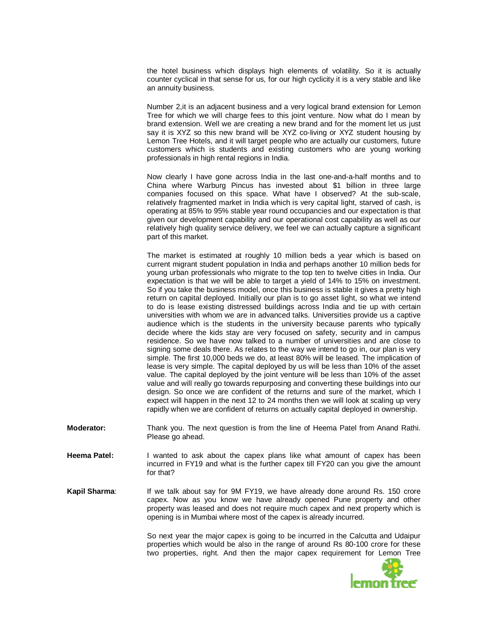the hotel business which displays high elements of volatility. So it is actually counter cyclical in that sense for us, for our high cyclicity it is a very stable and like an annuity business.

Number 2,it is an adjacent business and a very logical brand extension for Lemon Tree for which we will charge fees to this joint venture. Now what do I mean by brand extension. Well we are creating a new brand and for the moment let us just say it is XYZ so this new brand will be XYZ co-living or XYZ student housing by Lemon Tree Hotels, and it will target people who are actually our customers, future customers which is students and existing customers who are young working professionals in high rental regions in India.

Now clearly I have gone across India in the last one-and-a-half months and to China where Warburg Pincus has invested about \$1 billion in three large companies focused on this space. What have I observed? At the sub-scale, relatively fragmented market in India which is very capital light, starved of cash, is operating at 85% to 95% stable year round occupancies and our expectation is that given our development capability and our operational cost capability as well as our relatively high quality service delivery, we feel we can actually capture a significant part of this market.

The market is estimated at roughly 10 million beds a year which is based on current migrant student population in India and perhaps another 10 million beds for young urban professionals who migrate to the top ten to twelve cities in India. Our expectation is that we will be able to target a yield of 14% to 15% on investment. So if you take the business model, once this business is stable it gives a pretty high return on capital deployed. Initially our plan is to go asset light, so what we intend to do is lease existing distressed buildings across India and tie up with certain universities with whom we are in advanced talks. Universities provide us a captive audience which is the students in the university because parents who typically decide where the kids stay are very focused on safety, security and in campus residence. So we have now talked to a number of universities and are close to signing some deals there. As relates to the way we intend to go in, our plan is very simple. The first 10,000 beds we do, at least 80% will be leased. The implication of lease is very simple. The capital deployed by us will be less than 10% of the asset value. The capital deployed by the joint venture will be less than 10% of the asset value and will really go towards repurposing and converting these buildings into our design. So once we are confident of the returns and sure of the market, which I expect will happen in the next 12 to 24 months then we will look at scaling up very rapidly when we are confident of returns on actually capital deployed in ownership.

**Moderator:** Thank you. The next question is from the line of Heema Patel from Anand Rathi. Please go ahead.

- Heema Patel: I wanted to ask about the capex plans like what amount of capex has been incurred in FY19 and what is the further capex till FY20 can you give the amount for that?
- **Kapil Sharma:** If we talk about say for 9M FY19, we have already done around Rs. 150 crore capex. Now as you know we have already opened Pune property and other property was leased and does not require much capex and next property which is opening is in Mumbai where most of the capex is already incurred.

So next year the major capex is going to be incurred in the Calcutta and Udaipur properties which would be also in the range of around Rs 80-100 crore for these two properties, right. And then the major capex requirement for Lemon Tree

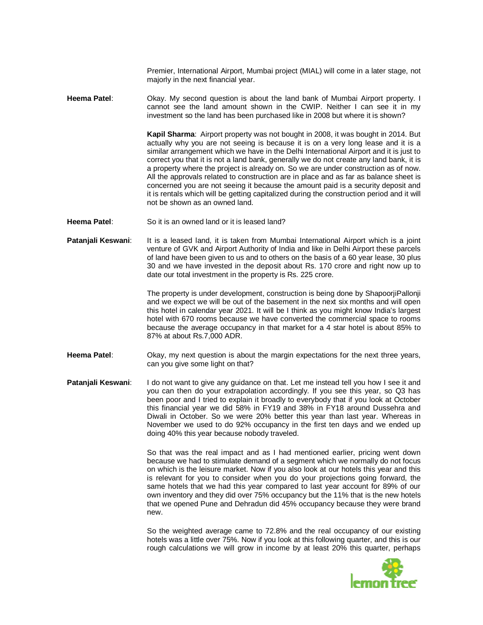Premier, International Airport, Mumbai project (MIAL) will come in a later stage, not majorly in the next financial year.

**Heema Patel**: Okay. My second question is about the land bank of Mumbai Airport property. I cannot see the land amount shown in the CWIP. Neither I can see it in my investment so the land has been purchased like in 2008 but where it is shown?

> **Kapil Sharma**: Airport property was not bought in 2008, it was bought in 2014. But actually why you are not seeing is because it is on a very long lease and it is a similar arrangement which we have in the Delhi International Airport and it is just to correct you that it is not a land bank, generally we do not create any land bank, it is a property where the project is already on. So we are under construction as of now. All the approvals related to construction are in place and as far as balance sheet is concerned you are not seeing it because the amount paid is a security deposit and it is rentals which will be getting capitalized during the construction period and it will not be shown as an owned land.

- **Heema Patel**: So it is an owned land or it is leased land?
- **Patanjali Keswani**: It is a leased land, it is taken from Mumbai International Airport which is a joint venture of GVK and Airport Authority of India and like in Delhi Airport these parcels of land have been given to us and to others on the basis of a 60 year lease, 30 plus 30 and we have invested in the deposit about Rs. 170 crore and right now up to date our total investment in the property is Rs. 225 crore.

The property is under development, construction is being done by ShapoorjiPallonji and we expect we will be out of the basement in the next six months and will open this hotel in calendar year 2021. It will be I think as you might know India's largest hotel with 670 rooms because we have converted the commercial space to rooms because the average occupancy in that market for a 4 star hotel is about 85% to 87% at about Rs.7,000 ADR.

- **Heema Patel**: Okay, my next question is about the margin expectations for the next three years, can you give some light on that?
- **Patanjali Keswani:** I do not want to give any guidance on that. Let me instead tell you how I see it and you can then do your extrapolation accordingly. If you see this year, so Q3 has been poor and I tried to explain it broadly to everybody that if you look at October this financial year we did 58% in FY19 and 38% in FY18 around Dussehra and Diwali in October. So we were 20% better this year than last year. Whereas in November we used to do 92% occupancy in the first ten days and we ended up doing 40% this year because nobody traveled.

So that was the real impact and as I had mentioned earlier, pricing went down because we had to stimulate demand of a segment which we normally do not focus on which is the leisure market. Now if you also look at our hotels this year and this is relevant for you to consider when you do your projections going forward, the same hotels that we had this year compared to last year account for 89% of our own inventory and they did over 75% occupancy but the 11% that is the new hotels that we opened Pune and Dehradun did 45% occupancy because they were brand new.

So the weighted average came to 72.8% and the real occupancy of our existing hotels was a little over 75%. Now if you look at this following quarter, and this is our rough calculations we will grow in income by at least 20% this quarter, perhaps

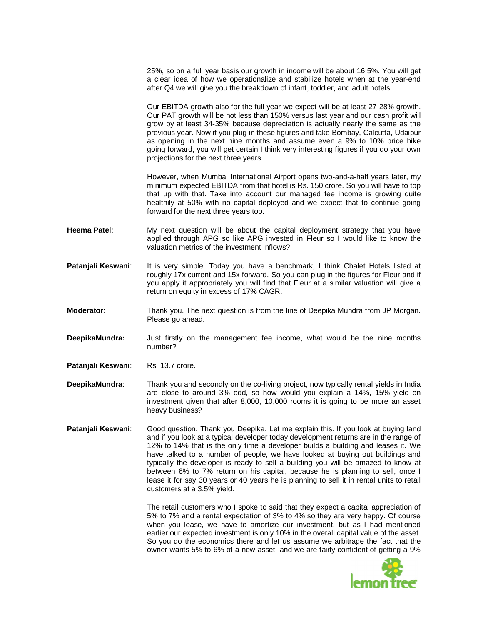25%, so on a full year basis our growth in income will be about 16.5%. You will get a clear idea of how we operationalize and stabilize hotels when at the year-end after Q4 we will give you the breakdown of infant, toddler, and adult hotels.

Our EBITDA growth also for the full year we expect will be at least 27-28% growth. Our PAT growth will be not less than 150% versus last year and our cash profit will grow by at least 34-35% because depreciation is actually nearly the same as the previous year. Now if you plug in these figures and take Bombay, Calcutta, Udaipur as opening in the next nine months and assume even a 9% to 10% price hike going forward, you will get certain I think very interesting figures if you do your own projections for the next three years.

However, when Mumbai International Airport opens two-and-a-half years later, my minimum expected EBITDA from that hotel is Rs. 150 crore. So you will have to top that up with that. Take into account our managed fee income is growing quite healthily at 50% with no capital deployed and we expect that to continue going forward for the next three years too.

- **Heema Patel**: My next question will be about the capital deployment strategy that you have applied through APG so like APG invested in Fleur so I would like to know the valuation metrics of the investment inflows?
- **Patanjali Keswani:** It is very simple. Today you have a benchmark, I think Chalet Hotels listed at roughly 17x current and 15x forward. So you can plug in the figures for Fleur and if you apply it appropriately you will find that Fleur at a similar valuation will give a return on equity in excess of 17% CAGR.
- **Moderator:** Thank you. The next question is from the line of Deepika Mundra from JP Morgan. Please go ahead.
- **DeepikaMundra:** Just firstly on the management fee income, what would be the nine months number?
- Patanjali Keswani: Rs. 13.7 crore.
- **DeepikaMundra**: Thank you and secondly on the co-living project, now typically rental yields in India are close to around 3% odd, so how would you explain a 14%, 15% yield on investment given that after 8,000, 10,000 rooms it is going to be more an asset heavy business?
- **Patanjali Keswani**: Good question. Thank you Deepika. Let me explain this. If you look at buying land and if you look at a typical developer today development returns are in the range of 12% to 14% that is the only time a developer builds a building and leases it. We have talked to a number of people, we have looked at buying out buildings and typically the developer is ready to sell a building you will be amazed to know at between 6% to 7% return on his capital, because he is planning to sell, once I lease it for say 30 years or 40 years he is planning to sell it in rental units to retail customers at a 3.5% yield.

The retail customers who I spoke to said that they expect a capital appreciation of 5% to 7% and a rental expectation of 3% to 4% so they are very happy. Of course when you lease, we have to amortize our investment, but as I had mentioned earlier our expected investment is only 10% in the overall capital value of the asset. So you do the economics there and let us assume we arbitrage the fact that the owner wants 5% to 6% of a new asset, and we are fairly confident of getting a 9%

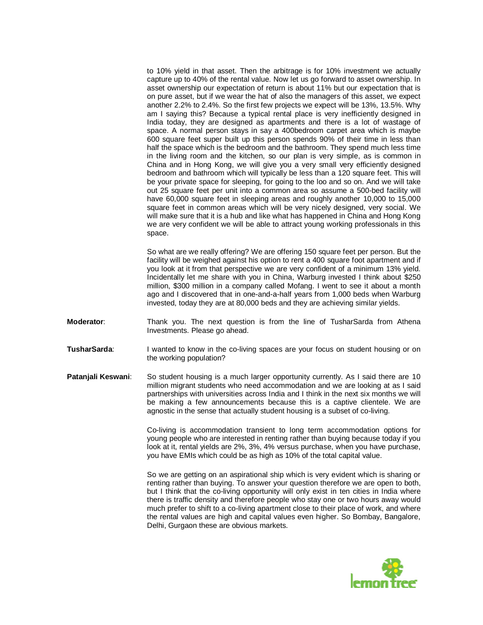to 10% yield in that asset. Then the arbitrage is for 10% investment we actually capture up to 40% of the rental value. Now let us go forward to asset ownership. In asset ownership our expectation of return is about 11% but our expectation that is on pure asset, but if we wear the hat of also the managers of this asset, we expect another 2.2% to 2.4%. So the first few projects we expect will be 13%, 13.5%. Why am I saying this? Because a typical rental place is very inefficiently designed in India today, they are designed as apartments and there is a lot of wastage of space. A normal person stays in say a 400bedroom carpet area which is maybe 600 square feet super built up this person spends 90% of their time in less than half the space which is the bedroom and the bathroom. They spend much less time in the living room and the kitchen, so our plan is very simple, as is common in China and in Hong Kong, we will give you a very small very efficiently designed bedroom and bathroom which will typically be less than a 120 square feet. This will be your private space for sleeping, for going to the loo and so on. And we will take out 25 square feet per unit into a common area so assume a 500-bed facility will have 60,000 square feet in sleeping areas and roughly another 10,000 to 15,000 square feet in common areas which will be very nicely designed, very social. We will make sure that it is a hub and like what has happened in China and Hong Kong we are very confident we will be able to attract young working professionals in this space.

So what are we really offering? We are offering 150 square feet per person. But the facility will be weighed against his option to rent a 400 square foot apartment and if you look at it from that perspective we are very confident of a minimum 13% yield. Incidentally let me share with you in China, Warburg invested I think about \$250 million, \$300 million in a company called Mofang. I went to see it about a month ago and I discovered that in one-and-a-half years from 1,000 beds when Warburg invested, today they are at 80,000 beds and they are achieving similar yields.

- **Moderator**: Thank you. The next question is from the line of TusharSarda from Athena Investments. Please go ahead.
- **TusharSarda:** I wanted to know in the co-living spaces are your focus on student housing or on the working population?
- **Patanjali Keswani:** So student housing is a much larger opportunity currently. As I said there are 10 million migrant students who need accommodation and we are looking at as I said partnerships with universities across India and I think in the next six months we will be making a few announcements because this is a captive clientele. We are agnostic in the sense that actually student housing is a subset of co-living.

Co-living is accommodation transient to long term accommodation options for young people who are interested in renting rather than buying because today if you look at it, rental yields are 2%, 3%, 4% versus purchase, when you have purchase, you have EMIs which could be as high as 10% of the total capital value.

So we are getting on an aspirational ship which is very evident which is sharing or renting rather than buying. To answer your question therefore we are open to both, but I think that the co-living opportunity will only exist in ten cities in India where there is traffic density and therefore people who stay one or two hours away would much prefer to shift to a co-living apartment close to their place of work, and where the rental values are high and capital values even higher. So Bombay, Bangalore, Delhi, Gurgaon these are obvious markets.

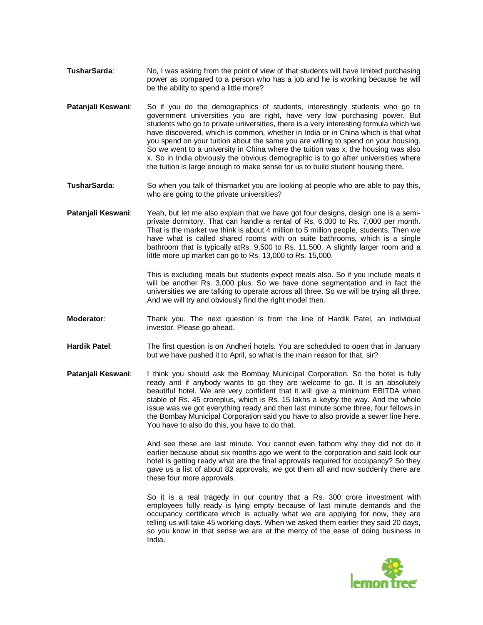- **TusharSarda**: No, I was asking from the point of view of that students will have limited purchasing power as compared to a person who has a job and he is working because he will be the ability to spend a little more?
- **Patanjali Keswani**: So if you do the demographics of students, interestingly students who go to government universities you are right, have very low purchasing power. But students who go to private universities, there is a very interesting formula which we have discovered, which is common, whether in India or in China which is that what you spend on your tuition about the same you are willing to spend on your housing. So we went to a university in China where the tuition was x, the housing was also x. So in India obviously the obvious demographic is to go after universities where the tuition is large enough to make sense for us to build student housing there.
- **TusharSarda**: So when you talk of thismarket you are looking at people who are able to pay this, who are going to the private universities?
- Patanjali Keswani: Yeah, but let me also explain that we have got four designs, design one is a semiprivate dormitory. That can handle a rental of Rs. 6,000 to Rs. 7,000 per month. That is the market we think is about 4 million to 5 million people, students. Then we have what is called shared rooms with on suite bathrooms, which is a single bathroom that is typically atRs. 9,500 to Rs. 11,500. A slightly larger room and a little more up market can go to Rs. 13,000 to Rs. 15,000.

This is excluding meals but students expect meals also. So if you include meals it will be another Rs. 3,000 plus. So we have done segmentation and in fact the universities we are talking to operate across all three. So we will be trying all three. And we will try and obviously find the right model then.

- **Moderator**: Thank you. The next question is from the line of Hardik Patel, an individual investor. Please go ahead.
- **Hardik Patel**: The first question is on Andheri hotels. You are scheduled to open that in January but we have pushed it to April, so what is the main reason for that, sir?
- **Patanjali Keswani**: I think you should ask the Bombay Municipal Corporation. So the hotel is fully ready and if anybody wants to go they are welcome to go. It is an absolutely beautiful hotel. We are very confident that it will give a minimum EBITDA when stable of Rs. 45 croreplus, which is Rs. 15 lakhs a keyby the way. And the whole issue was we got everything ready and then last minute some three, four fellows in the Bombay Municipal Corporation said you have to also provide a sewer line here. You have to also do this, you have to do that.

And see these are last minute. You cannot even fathom why they did not do it earlier because about six months ago we went to the corporation and said look our hotel is getting ready what are the final approvals required for occupancy? So they gave us a list of about 82 approvals, we got them all and now suddenly there are these four more approvals.

So it is a real tragedy in our country that a Rs. 300 crore investment with employees fully ready is lying empty because of last minute demands and the occupancy certificate which is actually what we are applying for now, they are telling us will take 45 working days. When we asked them earlier they said 20 days, so you know in that sense we are at the mercy of the ease of doing business in India.

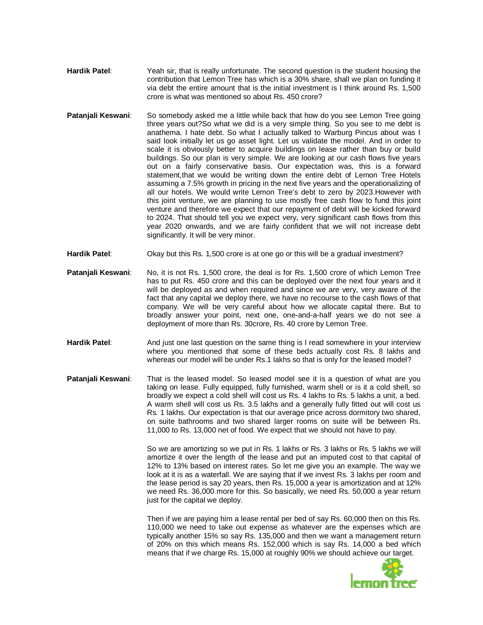- **Hardik Patel**: Yeah sir, that is really unfortunate. The second question is the student housing the contribution that Lemon Tree has which is a 30% share, shall we plan on funding it via debt the entire amount that is the initial investment is I think around Rs. 1,500 crore is what was mentioned so about Rs. 450 crore?
- **Patanjali Keswani:** So somebody asked me a little while back that how do you see Lemon Tree going three years out?So what we did is a very simple thing. So you see to me debt is anathema. I hate debt. So what I actually talked to Warburg Pincus about was I said look initially let us go asset light. Let us validate the model. And in order to scale it is obviously better to acquire buildings on lease rather than buy or build buildings. So our plan is very simple. We are looking at our cash flows five years out on a fairly conservative basis. Our expectation was, this is a forward statement,that we would be writing down the entire debt of Lemon Tree Hotels assuming a 7.5% growth in pricing in the next five years and the operationalizing of all our hotels. We would write Lemon Tree's debt to zero by 2023.However with this joint venture, we are planning to use mostly free cash flow to fund this joint venture and therefore we expect that our repayment of debt will be kicked forward to 2024. That should tell you we expect very, very significant cash flows from this year 2020 onwards, and we are fairly confident that we will not increase debt significantly. It will be very minor.
- **Hardik Patel:** Okay but this Rs. 1,500 crore is at one go or this will be a gradual investment?
- **Patanjali Keswani**: No, it is not Rs. 1,500 crore, the deal is for Rs. 1,500 crore of which Lemon Tree has to put Rs. 450 crore and this can be deployed over the next four years and it will be deployed as and when required and since we are very, very aware of the fact that any capital we deploy there, we have no recourse to the cash flows of that company. We will be very careful about how we allocate capital there. But to broadly answer your point, next one, one-and-a-half years we do not see a deployment of more than Rs. 30crore, Rs. 40 crore by Lemon Tree.
- **Hardik Patel**: And just one last question on the same thing is I read somewhere in your interview where you mentioned that some of these beds actually cost Rs. 8 lakhs and whereas our model will be under Rs.1 lakhs so that is only for the leased model?
- **Patanjali Keswani:** That is the leased model. So leased model see it is a question of what are you taking on lease. Fully equipped, fully furnished, warm shell or is it a cold shell, so broadly we expect a cold shell will cost us Rs. 4 lakhs to Rs. 5 lakhs a unit, a bed. A warm shell will cost us Rs. 3.5 lakhs and a generally fully fitted out will cost us Rs. 1 lakhs. Our expectation is that our average price across dormitory two shared, on suite bathrooms and two shared larger rooms on suite will be between Rs. 11,000 to Rs. 13,000 net of food. We expect that we should not have to pay.

So we are amortizing so we put in Rs. 1 lakhs or Rs. 3 lakhs or Rs. 5 lakhs we will amortize it over the length of the lease and put an imputed cost to that capital of 12% to 13% based on interest rates. So let me give you an example. The way we look at it is as a waterfall. We are saying that if we invest Rs. 3 lakhs per room and the lease period is say 20 years, then Rs. 15,000 a year is amortization and at 12% we need Rs. 36,000 more for this. So basically, we need Rs. 50,000 a year return just for the capital we deploy.

Then if we are paying him a lease rental per bed of say Rs. 60,000 then on this Rs. 110,000 we need to take out expense as whatever are the expenses which are typically another 15% so say Rs. 135,000 and then we want a management return of 20% on this which means Rs. 152,000 which is say Rs. 14,000 a bed which means that if we charge Rs. 15,000 at roughly 90% we should achieve our target.

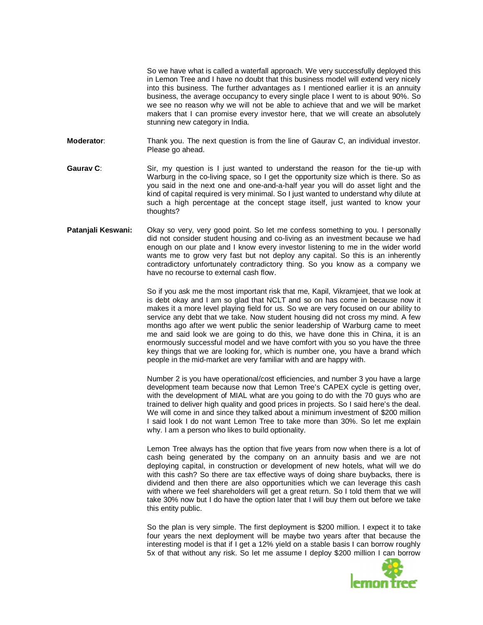So we have what is called a waterfall approach. We very successfully deployed this in Lemon Tree and I have no doubt that this business model will extend very nicely into this business. The further advantages as I mentioned earlier it is an annuity business, the average occupancy to every single place I went to is about 90%. So we see no reason why we will not be able to achieve that and we will be market makers that I can promise every investor here, that we will create an absolutely stunning new category in India.

**Moderator:** Thank you. The next question is from the line of Gaurav C, an individual investor. Please go ahead.

**Gaurav C:** Sir, my question is I just wanted to understand the reason for the tie-up with Warburg in the co-living space, so I get the opportunity size which is there. So as you said in the next one and one-and-a-half year you will do asset light and the kind of capital required is very minimal. So I just wanted to understand why dilute at such a high percentage at the concept stage itself, just wanted to know your thoughts?

### **Patanjali Keswani:** Okay so very, very good point. So let me confess something to you. I personally did not consider student housing and co-living as an investment because we had enough on our plate and I know every investor listening to me in the wider world wants me to grow very fast but not deploy any capital. So this is an inherently contradictory unfortunately contradictory thing. So you know as a company we have no recourse to external cash flow.

So if you ask me the most important risk that me, Kapil, Vikramjeet, that we look at is debt okay and I am so glad that NCLT and so on has come in because now it makes it a more level playing field for us. So we are very focused on our ability to service any debt that we take. Now student housing did not cross my mind. A few months ago after we went public the senior leadership of Warburg came to meet me and said look we are going to do this, we have done this in China, it is an enormously successful model and we have comfort with you so you have the three key things that we are looking for, which is number one, you have a brand which people in the mid-market are very familiar with and are happy with.

Number 2 is you have operational/cost efficiencies, and number 3 you have a large development team because now that Lemon Tree's CAPEX cycle is getting over, with the development of MIAL what are you going to do with the 70 guys who are trained to deliver high quality and good prices in projects. So I said here's the deal. We will come in and since they talked about a minimum investment of \$200 million I said look I do not want Lemon Tree to take more than 30%. So let me explain why. I am a person who likes to build optionality.

Lemon Tree always has the option that five years from now when there is a lot of cash being generated by the company on an annuity basis and we are not deploying capital, in construction or development of new hotels, what will we do with this cash? So there are tax effective ways of doing share buybacks, there is dividend and then there are also opportunities which we can leverage this cash with where we feel shareholders will get a great return. So I told them that we will take 30% now but I do have the option later that I will buy them out before we take this entity public.

So the plan is very simple. The first deployment is \$200 million. I expect it to take four years the next deployment will be maybe two years after that because the interesting model is that if I get a 12% yield on a stable basis I can borrow roughly 5x of that without any risk. So let me assume I deploy \$200 million I can borrow

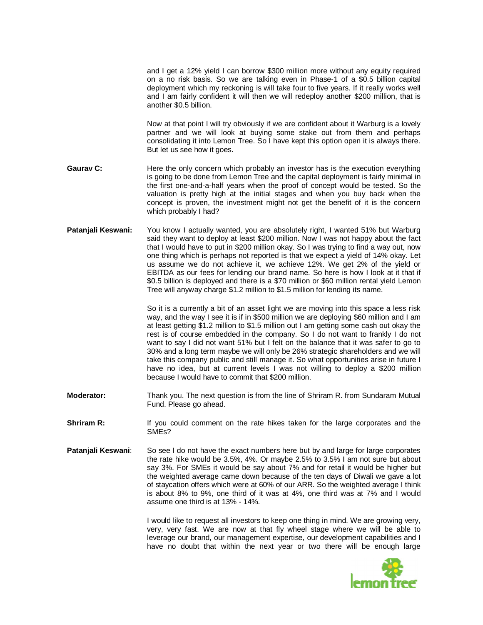and I get a 12% yield I can borrow \$300 million more without any equity required on a no risk basis. So we are talking even in Phase-1 of a \$0.5 billion capital deployment which my reckoning is will take four to five years. If it really works well and I am fairly confident it will then we will redeploy another \$200 million, that is another \$0.5 billion.

Now at that point I will try obviously if we are confident about it Warburg is a lovely partner and we will look at buying some stake out from them and perhaps consolidating it into Lemon Tree. So I have kept this option open it is always there. But let us see how it goes.

- **Gaurav C:** Here the only concern which probably an investor has is the execution everything is going to be done from Lemon Tree and the capital deployment is fairly minimal in the first one-and-a-half years when the proof of concept would be tested. So the valuation is pretty high at the initial stages and when you buy back when the concept is proven, the investment might not get the benefit of it is the concern which probably I had?
- **Patanjali Keswani:** You know I actually wanted, you are absolutely right, I wanted 51% but Warburg said they want to deploy at least \$200 million. Now I was not happy about the fact that I would have to put in \$200 million okay. So I was trying to find a way out, now one thing which is perhaps not reported is that we expect a yield of 14% okay. Let us assume we do not achieve it, we achieve 12%. We get 2% of the yield or EBITDA as our fees for lending our brand name. So here is how I look at it that if \$0.5 billion is deployed and there is a \$70 million or \$60 million rental yield Lemon Tree will anyway charge \$1.2 million to \$1.5 million for lending its name.

So it is a currently a bit of an asset light we are moving into this space a less risk way, and the way I see it is if in \$500 million we are deploying \$60 million and I am at least getting \$1.2 million to \$1.5 million out I am getting some cash out okay the rest is of course embedded in the company. So I do not want to frankly I do not want to say I did not want 51% but I felt on the balance that it was safer to go to 30% and a long term maybe we will only be 26% strategic shareholders and we will take this company public and still manage it. So what opportunities arise in future I have no idea, but at current levels I was not willing to deploy a \$200 million because I would have to commit that \$200 million.

- **Moderator:** Thank you. The next question is from the line of Shriram R. from Sundaram Mutual Fund. Please go ahead.
- **Shriram R:** If you could comment on the rate hikes taken for the large corporates and the SMEs?
- **Patanjali Keswani**: So see I do not have the exact numbers here but by and large for large corporates the rate hike would be 3.5%, 4%. Or maybe 2.5% to 3.5% I am not sure but about say 3%. For SMEs it would be say about 7% and for retail it would be higher but the weighted average came down because of the ten days of Diwali we gave a lot of staycation offers which were at 60% of our ARR. So the weighted average I think is about 8% to 9%, one third of it was at 4%, one third was at 7% and I would assume one third is at 13% - 14%.

I would like to request all investors to keep one thing in mind. We are growing very, very, very fast. We are now at that fly wheel stage where we will be able to leverage our brand, our management expertise, our development capabilities and I have no doubt that within the next year or two there will be enough large

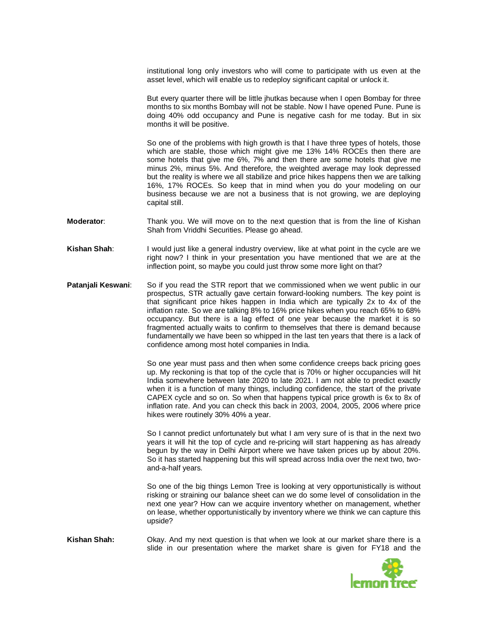institutional long only investors who will come to participate with us even at the asset level, which will enable us to redeploy significant capital or unlock it.

But every quarter there will be little jhutkas because when I open Bombay for three months to six months Bombay will not be stable. Now I have opened Pune. Pune is doing 40% odd occupancy and Pune is negative cash for me today. But in six months it will be positive.

So one of the problems with high growth is that I have three types of hotels, those which are stable, those which might give me 13% 14% ROCEs then there are some hotels that give me 6%, 7% and then there are some hotels that give me minus 2%, minus 5%. And therefore, the weighted average may look depressed but the reality is where we all stabilize and price hikes happens then we are talking 16%, 17% ROCEs. So keep that in mind when you do your modeling on our business because we are not a business that is not growing, we are deploying capital still.

- **Moderator:** Thank you. We will move on to the next question that is from the line of Kishan Shah from Vriddhi Securities. Please go ahead.
- **Kishan Shah**: I would just like a general industry overview, like at what point in the cycle are we right now? I think in your presentation you have mentioned that we are at the inflection point, so maybe you could just throw some more light on that?
- **Patanjali Keswani:** So if you read the STR report that we commissioned when we went public in our prospectus, STR actually gave certain forward-looking numbers. The key point is that significant price hikes happen in India which are typically 2x to 4x of the inflation rate. So we are talking 8% to 16% price hikes when you reach 65% to 68% occupancy. But there is a lag effect of one year because the market it is so fragmented actually waits to confirm to themselves that there is demand because fundamentally we have been so whipped in the last ten years that there is a lack of confidence among most hotel companies in India.

So one year must pass and then when some confidence creeps back pricing goes up. My reckoning is that top of the cycle that is 70% or higher occupancies will hit India somewhere between late 2020 to late 2021. I am not able to predict exactly when it is a function of many things, including confidence, the start of the private CAPEX cycle and so on. So when that happens typical price growth is 6x to 8x of inflation rate. And you can check this back in 2003, 2004, 2005, 2006 where price hikes were routinely 30% 40% a year.

So I cannot predict unfortunately but what I am very sure of is that in the next two years it will hit the top of cycle and re-pricing will start happening as has already begun by the way in Delhi Airport where we have taken prices up by about 20%. So it has started happening but this will spread across India over the next two, twoand-a-half years.

So one of the big things Lemon Tree is looking at very opportunistically is without risking or straining our balance sheet can we do some level of consolidation in the next one year? How can we acquire inventory whether on management, whether on lease, whether opportunistically by inventory where we think we can capture this upside?

**Kishan Shah:** Okay. And my next question is that when we look at our market share there is a slide in our presentation where the market share is given for FY18 and the

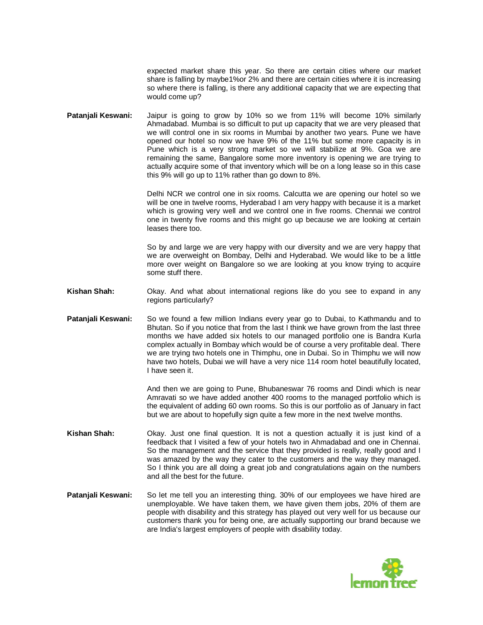expected market share this year. So there are certain cities where our market share is falling by maybe1%or 2% and there are certain cities where it is increasing so where there is falling, is there any additional capacity that we are expecting that would come up?

**Patanjali Keswani:** Jaipur is going to grow by 10% so we from 11% will become 10% similarly Ahmadabad. Mumbai is so difficult to put up capacity that we are very pleased that we will control one in six rooms in Mumbai by another two years. Pune we have opened our hotel so now we have 9% of the 11% but some more capacity is in Pune which is a very strong market so we will stabilize at 9%. Goa we are remaining the same, Bangalore some more inventory is opening we are trying to actually acquire some of that inventory which will be on a long lease so in this case this 9% will go up to 11% rather than go down to 8%.

> Delhi NCR we control one in six rooms. Calcutta we are opening our hotel so we will be one in twelve rooms, Hyderabad I am very happy with because it is a market which is growing very well and we control one in five rooms. Chennai we control one in twenty five rooms and this might go up because we are looking at certain leases there too.

> So by and large we are very happy with our diversity and we are very happy that we are overweight on Bombay, Delhi and Hyderabad. We would like to be a little more over weight on Bangalore so we are looking at you know trying to acquire some stuff there.

- **Kishan Shah:** Okay. And what about international regions like do you see to expand in any regions particularly?
- **Patanjali Keswani:** So we found a few million Indians every year go to Dubai, to Kathmandu and to Bhutan. So if you notice that from the last I think we have grown from the last three months we have added six hotels to our managed portfolio one is Bandra Kurla complex actually in Bombay which would be of course a very profitable deal. There we are trying two hotels one in Thimphu, one in Dubai. So in Thimphu we will now have two hotels, Dubai we will have a very nice 114 room hotel beautifully located, I have seen it.

And then we are going to Pune, Bhubaneswar 76 rooms and Dindi which is near Amravati so we have added another 400 rooms to the managed portfolio which is the equivalent of adding 60 own rooms. So this is our portfolio as of January in fact but we are about to hopefully sign quite a few more in the next twelve months.

- **Kishan Shah:** Okay. Just one final question. It is not a question actually it is just kind of a feedback that I visited a few of your hotels two in Ahmadabad and one in Chennai. So the management and the service that they provided is really, really good and I was amazed by the way they cater to the customers and the way they managed. So I think you are all doing a great job and congratulations again on the numbers and all the best for the future.
- **Patanjali Keswani:** So let me tell you an interesting thing. 30% of our employees we have hired are unemployable. We have taken them, we have given them jobs, 20% of them are people with disability and this strategy has played out very well for us because our customers thank you for being one, are actually supporting our brand because we are India's largest employers of people with disability today.

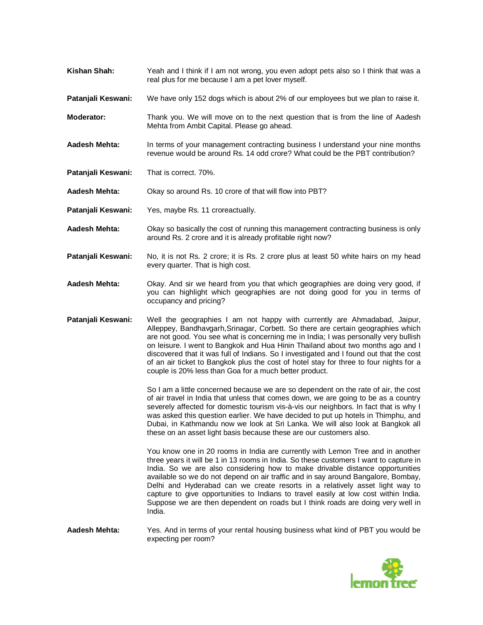- **Kishan Shah:** Yeah and I think if I am not wrong, you even adopt pets also so I think that was a real plus for me because I am a pet lover myself.
- **Patanjali Keswani:** We have only 152 dogs which is about 2% of our employees but we plan to raise it.
- **Moderator:** Thank you. We will move on to the next question that is from the line of Aadesh Mehta from Ambit Capital. Please go ahead.
- **Aadesh Mehta:** In terms of your management contracting business I understand your nine months revenue would be around Rs. 14 odd crore? What could be the PBT contribution?
- **Patanjali Keswani:** That is correct. 70%.

**Aadesh Mehta:** Okay so around Rs. 10 crore of that will flow into PBT?

- **Patanjali Keswani:** Yes, maybe Rs. 11 croreactually.
- **Aadesh Mehta:** Okay so basically the cost of running this management contracting business is only around Rs. 2 crore and it is already profitable right now?
- **Patanjali Keswani:** No, it is not Rs. 2 crore; it is Rs. 2 crore plus at least 50 white hairs on my head every quarter. That is high cost.
- **Aadesh Mehta:** Okay. And sir we heard from you that which geographies are doing very good, if you can highlight which geographies are not doing good for you in terms of occupancy and pricing?
- **Patanjali Keswani:** Well the geographies I am not happy with currently are Ahmadabad, Jaipur, Alleppey, Bandhavgarh,Srinagar, Corbett. So there are certain geographies which are not good. You see what is concerning me in India; I was personally very bullish on leisure. I went to Bangkok and Hua Hinin Thailand about two months ago and I discovered that it was full of Indians. So I investigated and I found out that the cost of an air ticket to Bangkok plus the cost of hotel stay for three to four nights for a couple is 20% less than Goa for a much better product.

So I am a little concerned because we are so dependent on the rate of air, the cost of air travel in India that unless that comes down, we are going to be as a country severely affected for domestic tourism vis-à-vis our neighbors. In fact that is why I was asked this question earlier. We have decided to put up hotels in Thimphu, and Dubai, in Kathmandu now we look at Sri Lanka. We will also look at Bangkok all these on an asset light basis because these are our customers also.

You know one in 20 rooms in India are currently with Lemon Tree and in another three years it will be 1 in 13 rooms in India. So these customers I want to capture in India. So we are also considering how to make drivable distance opportunities available so we do not depend on air traffic and in say around Bangalore, Bombay, Delhi and Hyderabad can we create resorts in a relatively asset light way to capture to give opportunities to Indians to travel easily at low cost within India. Suppose we are then dependent on roads but I think roads are doing very well in India.

**Aadesh Mehta:** Yes. And in terms of your rental housing business what kind of PBT you would be expecting per room?

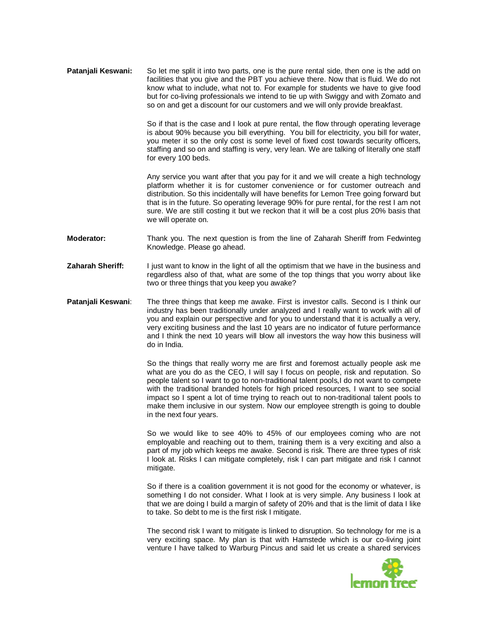**Patanjali Keswani:** So let me split it into two parts, one is the pure rental side, then one is the add on facilities that you give and the PBT you achieve there. Now that is fluid. We do not know what to include, what not to. For example for students we have to give food but for co-living professionals we intend to tie up with Swiggy and with Zomato and so on and get a discount for our customers and we will only provide breakfast.

> So if that is the case and I look at pure rental, the flow through operating leverage is about 90% because you bill everything. You bill for electricity, you bill for water, you meter it so the only cost is some level of fixed cost towards security officers, staffing and so on and staffing is very, very lean. We are talking of literally one staff for every 100 beds.

> Any service you want after that you pay for it and we will create a high technology platform whether it is for customer convenience or for customer outreach and distribution. So this incidentally will have benefits for Lemon Tree going forward but that is in the future. So operating leverage 90% for pure rental, for the rest I am not sure. We are still costing it but we reckon that it will be a cost plus 20% basis that we will operate on.

- **Moderator:** Thank you. The next question is from the line of Zaharah Sheriff from Fedwinteg Knowledge. Please go ahead.
- **Zaharah Sheriff:** I just want to know in the light of all the optimism that we have in the business and regardless also of that, what are some of the top things that you worry about like two or three things that you keep you awake?
- **Patanjali Keswani**: The three things that keep me awake. First is investor calls. Second is I think our industry has been traditionally under analyzed and I really want to work with all of you and explain our perspective and for you to understand that it is actually a very, very exciting business and the last 10 years are no indicator of future performance and I think the next 10 years will blow all investors the way how this business will do in India.

So the things that really worry me are first and foremost actually people ask me what are you do as the CEO, I will say I focus on people, risk and reputation. So people talent so I want to go to non-traditional talent pools,I do not want to compete with the traditional branded hotels for high priced resources, I want to see social impact so I spent a lot of time trying to reach out to non-traditional talent pools to make them inclusive in our system. Now our employee strength is going to double in the next four years.

So we would like to see 40% to 45% of our employees coming who are not employable and reaching out to them, training them is a very exciting and also a part of my job which keeps me awake. Second is risk. There are three types of risk I look at. Risks I can mitigate completely, risk I can part mitigate and risk I cannot mitigate.

So if there is a coalition government it is not good for the economy or whatever, is something I do not consider. What I look at is very simple. Any business I look at that we are doing I build a margin of safety of 20% and that is the limit of data I like to take. So debt to me is the first risk I mitigate.

The second risk I want to mitigate is linked to disruption. So technology for me is a very exciting space. My plan is that with Hamstede which is our co-living joint venture I have talked to Warburg Pincus and said let us create a shared services

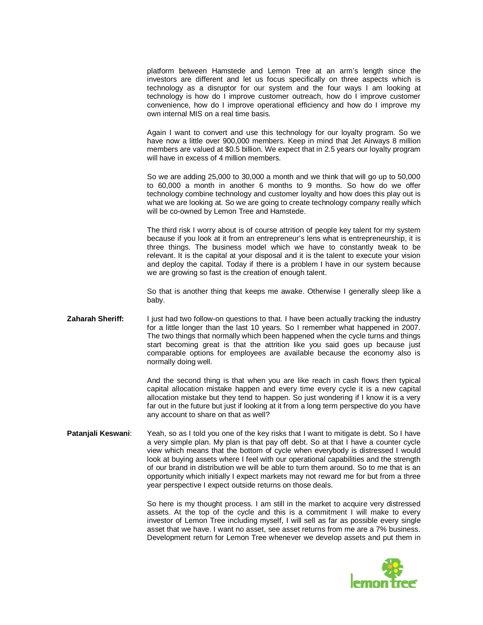platform between Hamstede and Lemon Tree at an arm's length since the investors are different and let us focus specifically on three aspects which is technology as a disruptor for our system and the four ways I am looking at technology is how do I improve customer outreach, how do I improve customer convenience, how do I improve operational efficiency and how do I improve my own internal MIS on a real time basis.

Again I want to convert and use this technology for our loyalty program. So we have now a little over 900,000 members. Keep in mind that Jet Airways 8 million members are valued at \$0.5 billion. We expect that in 2.5 years our loyalty program will have in excess of 4 million members.

So we are adding 25,000 to 30,000 a month and we think that will go up to 50,000 to 60,000 a month in another 6 months to 9 months. So how do we offer technology combine technology and customer loyalty and how does this play out is what we are looking at. So we are going to create technology company really which will be co-owned by Lemon Tree and Hamstede.

The third risk I worry about is of course attrition of people key talent for my system because if you look at it from an entrepreneur's lens what is entrepreneurship, it is three things. The business model which we have to constantly tweak to be relevant. It is the capital at your disposal and it is the talent to execute your vision and deploy the capital. Today if there is a problem I have in our system because we are growing so fast is the creation of enough talent.

So that is another thing that keeps me awake. Otherwise I generally sleep like a baby.

### **Zaharah Sheriff:** I just had two follow-on questions to that. I have been actually tracking the industry for a little longer than the last 10 years. So I remember what happened in 2007. The two things that normally which been happened when the cycle turns and things start becoming great is that the attrition like you said goes up because just comparable options for employees are available because the economy also is normally doing well.

And the second thing is that when you are like reach in cash flows then typical capital allocation mistake happen and every time every cycle it is a new capital allocation mistake but they tend to happen. So just wondering if I know it is a very far out in the future but just if looking at it from a long term perspective do you have any account to share on that as well?

### **Patanjali Keswani**: Yeah, so as I told you one of the key risks that I want to mitigate is debt. So I have a very simple plan. My plan is that pay off debt. So at that I have a counter cycle view which means that the bottom of cycle when everybody is distressed I would look at buying assets where I feel with our operational capabilities and the strength of our brand in distribution we will be able to turn them around. So to me that is an opportunity which initially I expect markets may not reward me for but from a three year perspective I expect outside returns on those deals.

So here is my thought process. I am still in the market to acquire very distressed assets. At the top of the cycle and this is a commitment I will make to every investor of Lemon Tree including myself, I will sell as far as possible every single asset that we have. I want no asset, see asset returns from me are a 7% business. Development return for Lemon Tree whenever we develop assets and put them in